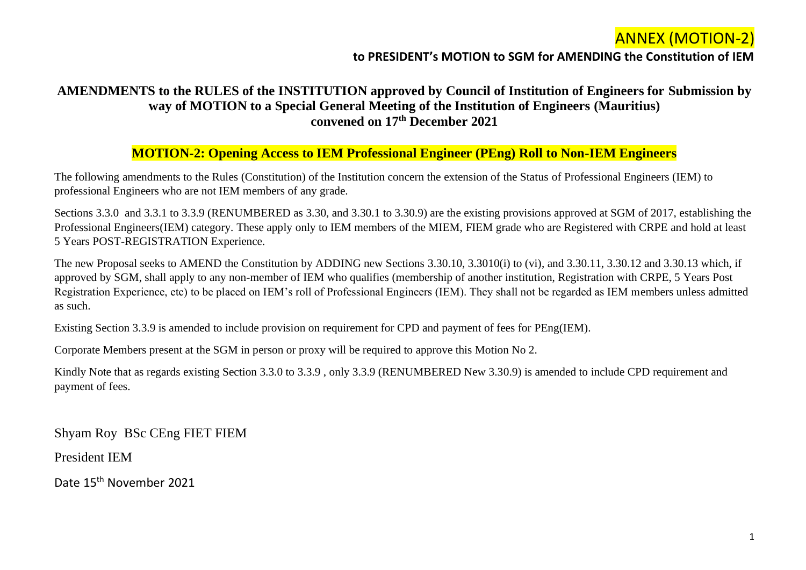#### **to PRESIDENT's MOTION to SGM for AMENDING the Constitution of IEM**

#### **AMENDMENTS to the RULES of the INSTITUTION approved by Council of Institution of Engineers for Submission by way of MOTION to a Special General Meeting of the Institution of Engineers (Mauritius) convened on 17th December 2021**

#### **MOTION-2: Opening Access to IEM Professional Engineer (PEng) Roll to Non-IEM Engineers**

The following amendments to the Rules (Constitution) of the Institution concern the extension of the Status of Professional Engineers (IEM) to professional Engineers who are not IEM members of any grade.

Sections 3.3.0 and 3.3.1 to 3.3.9 (RENUMBERED as 3.30, and 3.30.1 to 3.30.9) are the existing provisions approved at SGM of 2017, establishing the Professional Engineers(IEM) category. These apply only to IEM members of the MIEM, FIEM grade who are Registered with CRPE and hold at least 5 Years POST-REGISTRATION Experience.

The new Proposal seeks to AMEND the Constitution by ADDING new Sections 3.30.10, 3.3010(i) to (vi), and 3.30.11, 3.30.12 and 3.30.13 which, if approved by SGM, shall apply to any non-member of IEM who qualifies (membership of another institution, Registration with CRPE, 5 Years Post Registration Experience, etc) to be placed on IEM's roll of Professional Engineers (IEM). They shall not be regarded as IEM members unless admitted as such.

Existing Section 3.3.9 is amended to include provision on requirement for CPD and payment of fees for PEng(IEM).

Corporate Members present at the SGM in person or proxy will be required to approve this Motion No 2.

Kindly Note that as regards existing Section 3.3.0 to 3.3.9 , only 3.3.9 (RENUMBERED New 3.30.9) is amended to include CPD requirement and payment of fees.

Shyam Roy BSc CEng FIET FIEM

President IEM

Date 15th November 2021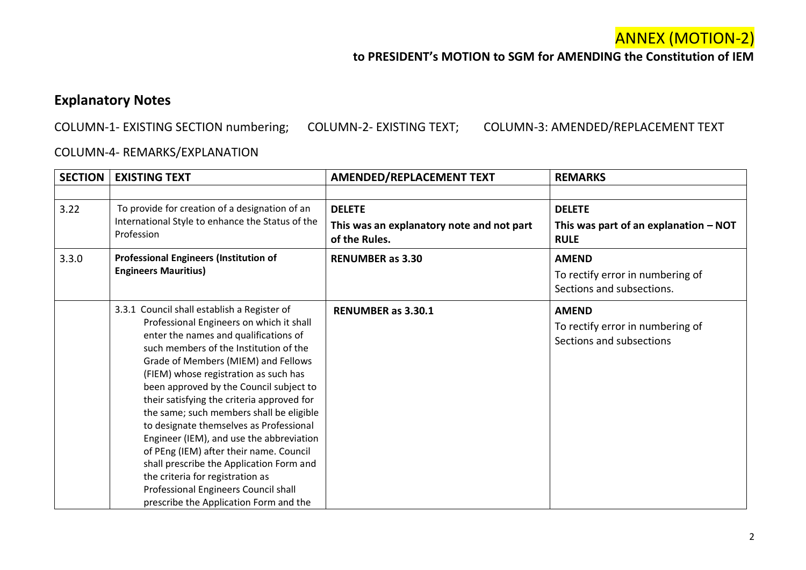#### **to PRESIDENT's MOTION to SGM for AMENDING the Constitution of IEM**

### **Explanatory Notes**

COLUMN-1- EXISTING SECTION numbering; COLUMN-2- EXISTING TEXT; COLUMN-3: AMENDED/REPLACEMENT TEXT

#### COLUMN-4- REMARKS/EXPLANATION

| <b>SECTION</b> | <b>EXISTING TEXT</b>                                                                                                                                                                                                                                                                                                                                                                                                                                                                                                                                                                                                                                                                                | <b>AMENDED/REPLACEMENT TEXT</b>                                             | <b>REMARKS</b>                                                                |
|----------------|-----------------------------------------------------------------------------------------------------------------------------------------------------------------------------------------------------------------------------------------------------------------------------------------------------------------------------------------------------------------------------------------------------------------------------------------------------------------------------------------------------------------------------------------------------------------------------------------------------------------------------------------------------------------------------------------------------|-----------------------------------------------------------------------------|-------------------------------------------------------------------------------|
|                |                                                                                                                                                                                                                                                                                                                                                                                                                                                                                                                                                                                                                                                                                                     |                                                                             |                                                                               |
| 3.22           | To provide for creation of a designation of an<br>International Style to enhance the Status of the<br>Profession                                                                                                                                                                                                                                                                                                                                                                                                                                                                                                                                                                                    | <b>DELETE</b><br>This was an explanatory note and not part<br>of the Rules. | <b>DELETE</b><br>This was part of an explanation $-$ NOT<br><b>RULE</b>       |
| 3.3.0          | <b>Professional Engineers (Institution of</b><br><b>Engineers Mauritius)</b>                                                                                                                                                                                                                                                                                                                                                                                                                                                                                                                                                                                                                        | <b>RENUMBER as 3.30</b>                                                     | <b>AMEND</b><br>To rectify error in numbering of<br>Sections and subsections. |
|                | 3.3.1 Council shall establish a Register of<br>Professional Engineers on which it shall<br>enter the names and qualifications of<br>such members of the Institution of the<br>Grade of Members (MIEM) and Fellows<br>(FIEM) whose registration as such has<br>been approved by the Council subject to<br>their satisfying the criteria approved for<br>the same; such members shall be eligible<br>to designate themselves as Professional<br>Engineer (IEM), and use the abbreviation<br>of PEng (IEM) after their name. Council<br>shall prescribe the Application Form and<br>the criteria for registration as<br>Professional Engineers Council shall<br>prescribe the Application Form and the | <b>RENUMBER as 3.30.1</b>                                                   | <b>AMEND</b><br>To rectify error in numbering of<br>Sections and subsections  |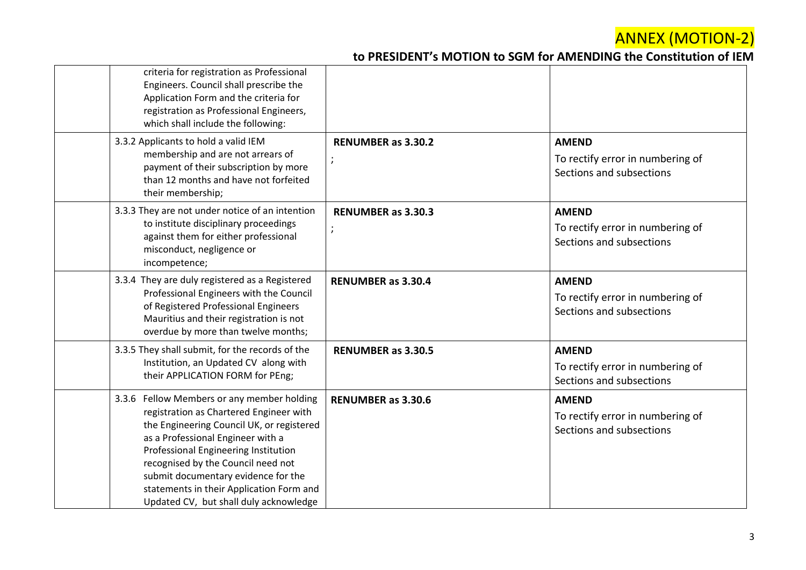| criteria for registration as Professional<br>Engineers. Council shall prescribe the<br>Application Form and the criteria for<br>registration as Professional Engineers,<br>which shall include the following:                                                                                                                                                                      |                                      |                                                                              |
|------------------------------------------------------------------------------------------------------------------------------------------------------------------------------------------------------------------------------------------------------------------------------------------------------------------------------------------------------------------------------------|--------------------------------------|------------------------------------------------------------------------------|
| 3.3.2 Applicants to hold a valid IEM<br>membership and are not arrears of<br>payment of their subscription by more<br>than 12 months and have not forfeited<br>their membership;                                                                                                                                                                                                   | <b>RENUMBER as 3.30.2</b><br>;       | <b>AMEND</b><br>To rectify error in numbering of<br>Sections and subsections |
| 3.3.3 They are not under notice of an intention<br>to institute disciplinary proceedings<br>against them for either professional<br>misconduct, negligence or<br>incompetence;                                                                                                                                                                                                     | <b>RENUMBER as 3.30.3</b><br>$\cdot$ | <b>AMEND</b><br>To rectify error in numbering of<br>Sections and subsections |
| 3.3.4 They are duly registered as a Registered<br>Professional Engineers with the Council<br>of Registered Professional Engineers<br>Mauritius and their registration is not<br>overdue by more than twelve months;                                                                                                                                                                | <b>RENUMBER as 3.30.4</b>            | <b>AMEND</b><br>To rectify error in numbering of<br>Sections and subsections |
| 3.3.5 They shall submit, for the records of the<br>Institution, an Updated CV along with<br>their APPLICATION FORM for PEng;                                                                                                                                                                                                                                                       | <b>RENUMBER as 3.30.5</b>            | <b>AMEND</b><br>To rectify error in numbering of<br>Sections and subsections |
| 3.3.6 Fellow Members or any member holding<br>registration as Chartered Engineer with<br>the Engineering Council UK, or registered<br>as a Professional Engineer with a<br>Professional Engineering Institution<br>recognised by the Council need not<br>submit documentary evidence for the<br>statements in their Application Form and<br>Updated CV, but shall duly acknowledge | <b>RENUMBER as 3.30.6</b>            | <b>AMEND</b><br>To rectify error in numbering of<br>Sections and subsections |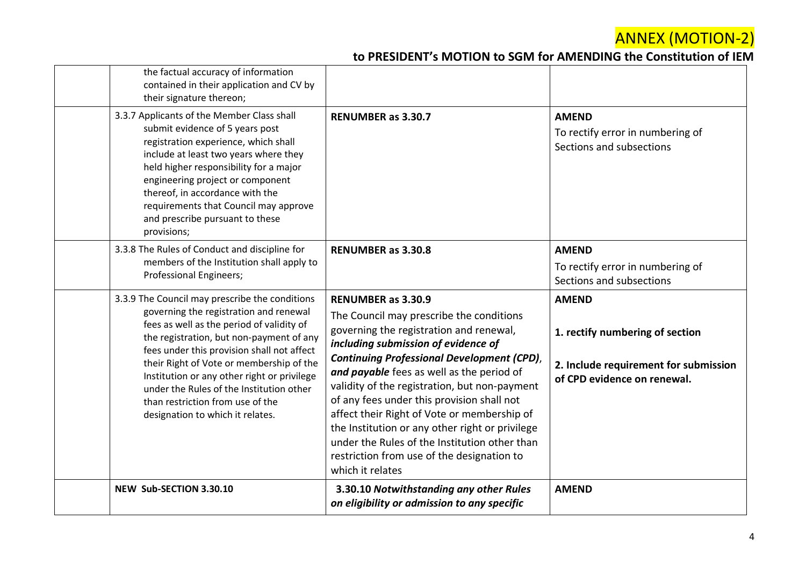| the factual accuracy of information<br>contained in their application and CV by<br>their signature thereon;                                                                                                                                                                                                                                                                |                                                                                                                                                                                                                                                                                                            |                                                                                                                         |
|----------------------------------------------------------------------------------------------------------------------------------------------------------------------------------------------------------------------------------------------------------------------------------------------------------------------------------------------------------------------------|------------------------------------------------------------------------------------------------------------------------------------------------------------------------------------------------------------------------------------------------------------------------------------------------------------|-------------------------------------------------------------------------------------------------------------------------|
| 3.3.7 Applicants of the Member Class shall<br>submit evidence of 5 years post<br>registration experience, which shall<br>include at least two years where they<br>held higher responsibility for a major<br>engineering project or component<br>thereof, in accordance with the<br>requirements that Council may approve<br>and prescribe pursuant to these<br>provisions; | <b>RENUMBER as 3.30.7</b>                                                                                                                                                                                                                                                                                  | <b>AMEND</b><br>To rectify error in numbering of<br>Sections and subsections                                            |
| 3.3.8 The Rules of Conduct and discipline for<br>members of the Institution shall apply to<br><b>Professional Engineers;</b>                                                                                                                                                                                                                                               | <b>RENUMBER as 3.30.8</b>                                                                                                                                                                                                                                                                                  | <b>AMEND</b><br>To rectify error in numbering of<br>Sections and subsections                                            |
| 3.3.9 The Council may prescribe the conditions<br>governing the registration and renewal<br>fees as well as the period of validity of<br>the registration, but non-payment of any<br>fees under this provision shall not affect<br>their Right of Vote or membership of the<br>Institution or any other right or privilege<br>under the Rules of the Institution other     | <b>RENUMBER as 3.30.9</b><br>The Council may prescribe the conditions<br>governing the registration and renewal,<br>including submission of evidence of<br><b>Continuing Professional Development (CPD),</b><br>and payable fees as well as the period of<br>validity of the registration, but non-payment | <b>AMEND</b><br>1. rectify numbering of section<br>2. Include requirement for submission<br>of CPD evidence on renewal. |
| than restriction from use of the<br>designation to which it relates.                                                                                                                                                                                                                                                                                                       | of any fees under this provision shall not<br>affect their Right of Vote or membership of<br>the Institution or any other right or privilege<br>under the Rules of the Institution other than<br>restriction from use of the designation to<br>which it relates                                            |                                                                                                                         |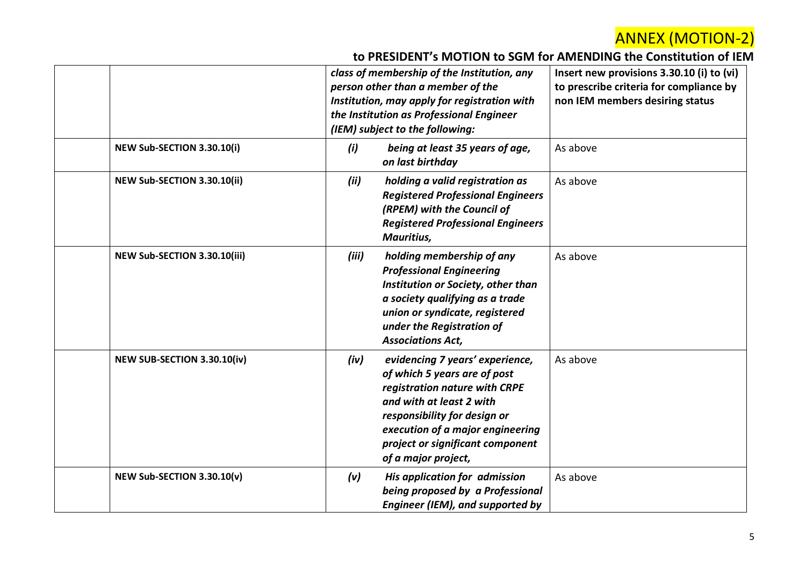|                              | class of membership of the Institution, any<br>person other than a member of the<br>Institution, may apply for registration with<br>the Institution as Professional Engineer<br>(IEM) subject to the following:                                                     | Insert new provisions 3.30.10 (i) to (vi)<br>to prescribe criteria for compliance by<br>non IEM members desiring status |
|------------------------------|---------------------------------------------------------------------------------------------------------------------------------------------------------------------------------------------------------------------------------------------------------------------|-------------------------------------------------------------------------------------------------------------------------|
| NEW Sub-SECTION 3.30.10(i)   | being at least 35 years of age,<br>(i)<br>on last birthday                                                                                                                                                                                                          | As above                                                                                                                |
| NEW Sub-SECTION 3.30.10(ii)  | (ii)<br>holding a valid registration as<br><b>Registered Professional Engineers</b><br>(RPEM) with the Council of<br><b>Registered Professional Engineers</b><br>Mauritius,                                                                                         | As above                                                                                                                |
| NEW Sub-SECTION 3.30.10(iii) | holding membership of any<br>(iii)<br><b>Professional Engineering</b><br>Institution or Society, other than<br>a society qualifying as a trade<br>union or syndicate, registered<br>under the Registration of<br><b>Associations Act,</b>                           | As above                                                                                                                |
| NEW SUB-SECTION 3.30.10(iv)  | evidencing 7 years' experience,<br>(iv)<br>of which 5 years are of post<br>registration nature with CRPE<br>and with at least 2 with<br>responsibility for design or<br>execution of a major engineering<br>project or significant component<br>of a major project, | As above                                                                                                                |
| NEW Sub-SECTION 3.30.10(v)   | (v)<br>His application for admission<br>being proposed by a Professional<br>Engineer (IEM), and supported by                                                                                                                                                        | As above                                                                                                                |